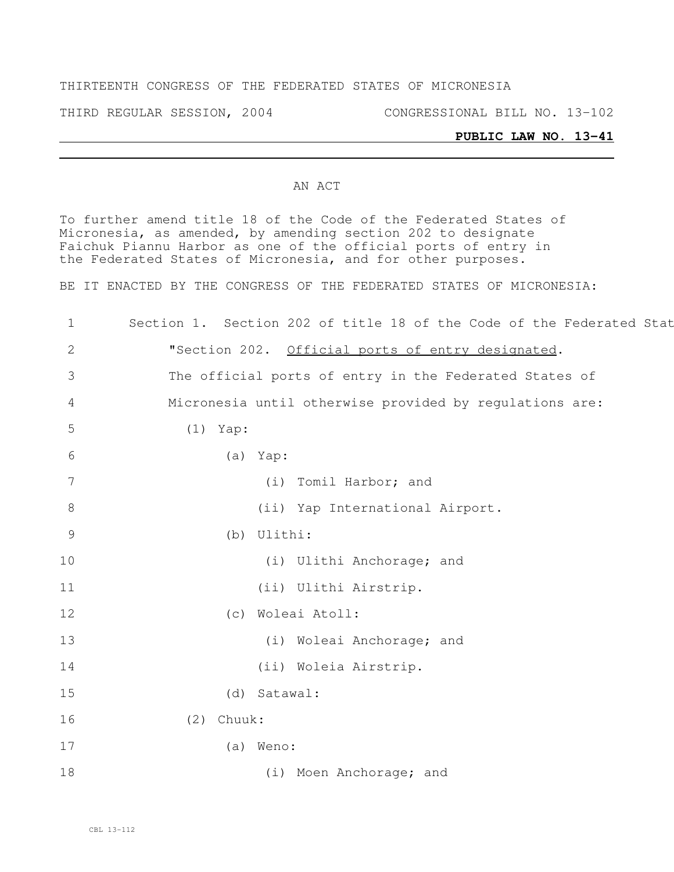### THIRTEENTH CONGRESS OF THE FEDERATED STATES OF MICRONESIA

THIRD REGULAR SESSION, 2004 CONGRESSIONAL BILL NO. 13-102

### **PUBLIC LAW NO. 13-41**

### AN ACT

To further amend title 18 of the Code of the Federated States of Micronesia, as amended, by amending section 202 to designate Faichuk Piannu Harbor as one of the official ports of entry in the Federated States of Micronesia, and for other purposes.

BE IT ENACTED BY THE CONGRESS OF THE FEDERATED STATES OF MICRONESIA:

| $\mathbf 1$     | Section 1. Section 202 of title 18 of the Code of the Federated Stat |
|-----------------|----------------------------------------------------------------------|
| 2               | "Section 202. Official ports of entry designated.                    |
| 3               | The official ports of entry in the Federated States of               |
| $\overline{4}$  | Micronesia until otherwise provided by regulations are:              |
| 5               | $(1)$ Yap:                                                           |
| 6               | (a) Yap:                                                             |
| $7\overline{ }$ | (i) Tomil Harbor; and                                                |
| 8               | (ii) Yap International Airport.                                      |
| 9               | (b) Ulithi:                                                          |
| 10              | (i) Ulithi Anchorage; and                                            |
| 11              | (ii) Ulithi Airstrip.                                                |
| 12              | (c) Woleai Atoll:                                                    |
| 13              | (i) Woleai Anchorage; and                                            |
| 14              | (ii) Woleia Airstrip.                                                |
| 15              | (d) Satawal:                                                         |
| 16              | $(2)$ Chuuk:                                                         |
| 17              | (a) Weno:                                                            |
| 18              | (i) Moen Anchorage; and                                              |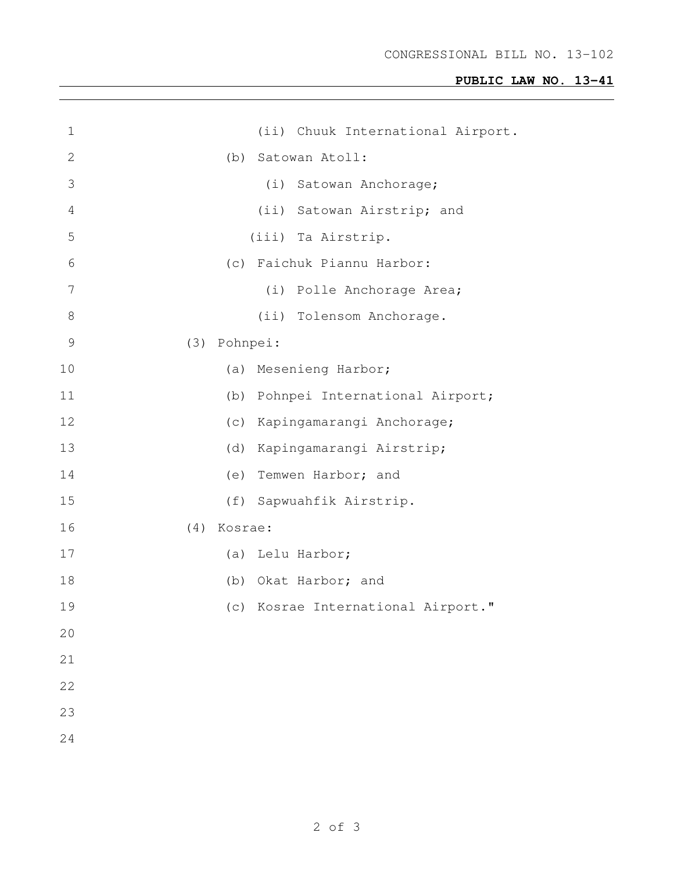# **PUBLIC LAW NO. 13-41**

| $\mathbf 1$    | (ii) Chuuk International Airport.     |
|----------------|---------------------------------------|
| $\mathbf{2}$   | Satowan Atoll:<br>(b)                 |
| 3              | (i) Satowan Anchorage;                |
| $\overline{4}$ | (ii) Satowan Airstrip; and            |
| 5              | (iii) Ta Airstrip.                    |
| 6              | (c) Faichuk Piannu Harbor:            |
| 7              | (i) Polle Anchorage Area;             |
| $8\,$          | (ii) Tolensom Anchorage.              |
| 9              | (3)<br>Pohnpei:                       |
| 10             | Mesenieng Harbor;<br>(a)              |
| 11             | Pohnpei International Airport;<br>(b) |
| 12             | (C)<br>Kapingamarangi Anchorage;      |
| 13             | Kapingamarangi Airstrip;<br>(d)       |
| 14             | Temwen Harbor; and<br>(e)             |
| 15             | Sapwuahfik Airstrip.<br>(f)           |
| 16             | Kosrae:<br>(4)                        |
| 17             | (a) Lelu Harbor;                      |
| 18             | (b) Okat Harbor; and                  |
| 19             | (c) Kosrae International Airport."    |
| 20             |                                       |
| 21             |                                       |
| 22             |                                       |
| 23             |                                       |
| 24             |                                       |